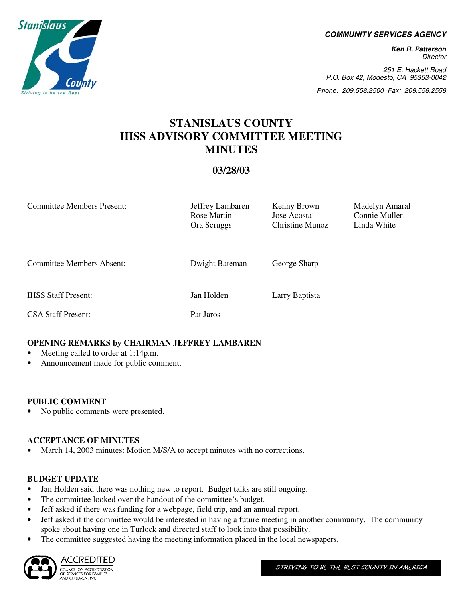**COMMUNITY SERVICES AGENCY** 

**Ken R. Patterson**  Director

251 E. Hackett Road P.O. Box 42, Modesto, CA 95353-0042

Phone: 209.558.2500 Fax: 209.558.2558

# **STANISLAUS COUNTY IHSS ADVISORY COMMITTEE MEETING MINUTES**

# **03/28/03**

| <b>Committee Members Present:</b> | Jeffrey Lambaren<br>Rose Martin<br>Ora Scruggs | Kenny Brown<br>Jose Acosta<br>Christine Munoz | Madelyn Amaral<br>Connie Muller<br>Linda White |  |  |
|-----------------------------------|------------------------------------------------|-----------------------------------------------|------------------------------------------------|--|--|
| <b>Committee Members Absent:</b>  | Dwight Bateman                                 | George Sharp                                  |                                                |  |  |
| <b>IHSS Staff Present:</b>        | Jan Holden                                     | Larry Baptista                                |                                                |  |  |
| <b>CSA Staff Present:</b>         | Pat Jaros                                      |                                               |                                                |  |  |

# **OPENING REMARKS by CHAIRMAN JEFFREY LAMBAREN**

- Meeting called to order at 1:14p.m.
- Announcement made for public comment.

#### **PUBLIC COMMENT**

• No public comments were presented.

# **ACCEPTANCE OF MINUTES**

• March 14, 2003 minutes: Motion M/S/A to accept minutes with no corrections.

#### **BUDGET UPDATE**

- Jan Holden said there was nothing new to report. Budget talks are still ongoing.
- The committee looked over the handout of the committee's budget.
- Jeff asked if there was funding for a webpage, field trip, and an annual report.
- Jeff asked if the committee would be interested in having a future meeting in another community. The community spoke about having one in Turlock and directed staff to look into that possibility.
- The committee suggested having the meeting information placed in the local newspapers.



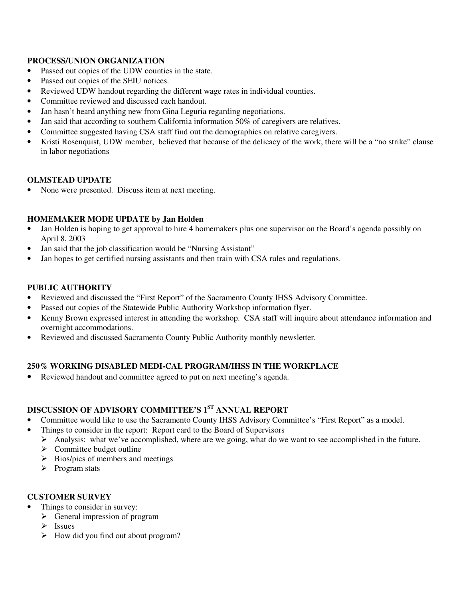# **PROCESS/UNION ORGANIZATION**

- Passed out copies of the UDW counties in the state.
- Passed out copies of the SEIU notices.
- Reviewed UDW handout regarding the different wage rates in individual counties.
- Committee reviewed and discussed each handout.
- Jan hasn't heard anything new from Gina Leguria regarding negotiations.
- Jan said that according to southern California information 50% of caregivers are relatives.
- Committee suggested having CSA staff find out the demographics on relative caregivers.
- Kristi Rosenquist, UDW member, believed that because of the delicacy of the work, there will be a "no strike" clause in labor negotiations

#### **OLMSTEAD UPDATE**

None were presented. Discuss item at next meeting.

#### **HOMEMAKER MODE UPDATE by Jan Holden**

- Jan Holden is hoping to get approval to hire 4 homemakers plus one supervisor on the Board's agenda possibly on April 8, 2003
- Jan said that the job classification would be "Nursing Assistant"
- Jan hopes to get certified nursing assistants and then train with CSA rules and regulations.

#### **PUBLIC AUTHORITY**

- Reviewed and discussed the "First Report" of the Sacramento County IHSS Advisory Committee.
- Passed out copies of the Statewide Public Authority Workshop information flyer.
- Kenny Brown expressed interest in attending the workshop. CSA staff will inquire about attendance information and overnight accommodations.
- Reviewed and discussed Sacramento County Public Authority monthly newsletter.

# **250% WORKING DISABLED MEDI-CAL PROGRAM/IHSS IN THE WORKPLACE**

• Reviewed handout and committee agreed to put on next meeting's agenda.

# **DISCUSSION OF ADVISORY COMMITTEE'S 1ST ANNUAL REPORT**

- Committee would like to use the Sacramento County IHSS Advisory Committee's "First Report" as a model.
- Things to consider in the report: Report card to the Board of Supervisors
	- Analysis: what we've accomplished, where are we going, what do we want to see accomplished in the future.
	- $\triangleright$  Committee budget outline
	- $\triangleright$  Bios/pics of members and meetings
	- $\triangleright$  Program stats

#### **CUSTOMER SURVEY**

- Things to consider in survey:
	- $\triangleright$  General impression of program
	- $\triangleright$  Issues
	- $\triangleright$  How did you find out about program?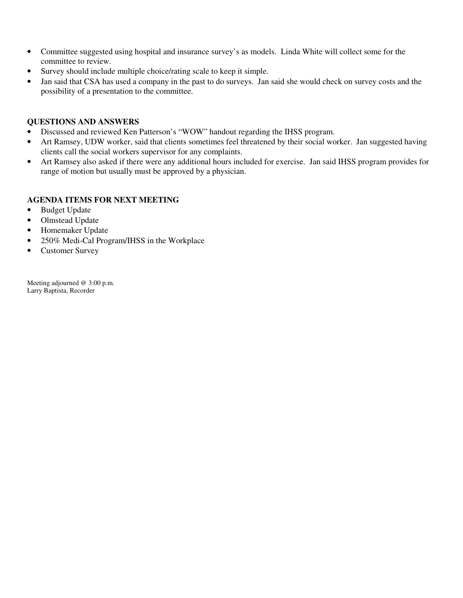- Committee suggested using hospital and insurance survey's as models. Linda White will collect some for the committee to review.
- Survey should include multiple choice/rating scale to keep it simple.
- Jan said that CSA has used a company in the past to do surveys. Jan said she would check on survey costs and the possibility of a presentation to the committee.

# **QUESTIONS AND ANSWERS**

- Discussed and reviewed Ken Patterson's "WOW" handout regarding the IHSS program.
- Art Ramsey, UDW worker, said that clients sometimes feel threatened by their social worker. Jan suggested having clients call the social workers supervisor for any complaints.
- Art Ramsey also asked if there were any additional hours included for exercise. Jan said IHSS program provides for range of motion but usually must be approved by a physician.

#### **AGENDA ITEMS FOR NEXT MEETING**

- Budget Update
- Olmstead Update
- Homemaker Update
- 250% Medi-Cal Program/IHSS in the Workplace
- Customer Survey

Meeting adjourned @ 3:00 p.m. Larry Baptista, Recorder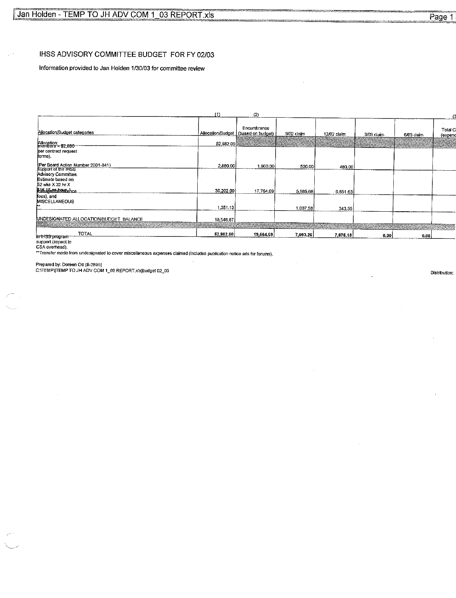#### IHSS ADVISORY COMMITTEE BUDGET FOR FY 02/03

Information provided to Jan Holden 1/30/03 for committee review

|                                                              | (1)       | (2)                                                  |            |             |            |            |                    |
|--------------------------------------------------------------|-----------|------------------------------------------------------|------------|-------------|------------|------------|--------------------|
| Allocation/Budget categories                                 |           | Encumbrance<br>Allocation/Budget   (based on budget) | 9/02 claim | 12/02 claim | 3/03 claim | 6/03 claim | Total C<br>(expend |
| Allocation:<br>members - \$2,880                             | 52,982.00 | AN SING                                              |            |             |            |            |                    |
| per contract request<br>forms).                              |           |                                                      |            |             |            |            |                    |
| (Per Board Action Number 2001-841)<br>support of the IHSS    | 2,880.00  | 1,900.00                                             | 500.00     | 480.00      |            |            |                    |
| Advisory Committee.<br>Estimate based on<br>52 wks X 32 hr X |           |                                                      |            |             |            |            |                    |
| his after have need                                          | 30,202.00 | 17,764.69                                            | 5,585,68   | 6,851.63    |            |            |                    |
| fees), and<br>MISCELLANEOUS                                  | 1,351.13  |                                                      | 1,007.58   |             |            |            |                    |
|                                                              |           |                                                      |            | 343.55      |            |            |                    |
| UNDESIGNATED ALLOCATION/BUDGET BALANCE                       | 18,548.87 |                                                      |            |             |            |            |                    |
| <b>TOTAL</b>                                                 | 52,982.00 | 19,664.69                                            | 7.093.26   | 7,675.18    | 0.00       | 0.00       |                    |
| i <del>n 1H33 program</del><br>monneed financial to          |           |                                                      |            |             |            |            |                    |

support (impact to<br>CSA overhead).<br>\*\*Transfer made from undesignated to cover miscellaneous expenses claimed (includes publication notice ads for forums).

Prepared by: Doreen Ott (8-2895)<br>C:\TEMP\TEMP TO JH ADV COM 1\_03 REPORT.xis}budget 02\_03

Distribution: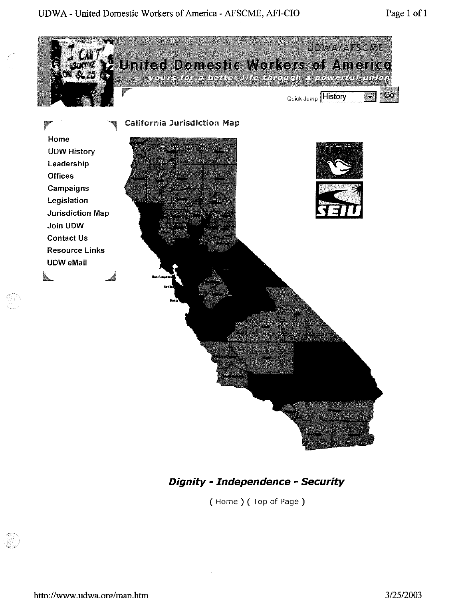# UDWA - United Domestic Workers of America - AFSCME, AFI-CIO



# **Dignity - Independence - Security**

(Home) (Top of Page)

fini<br>N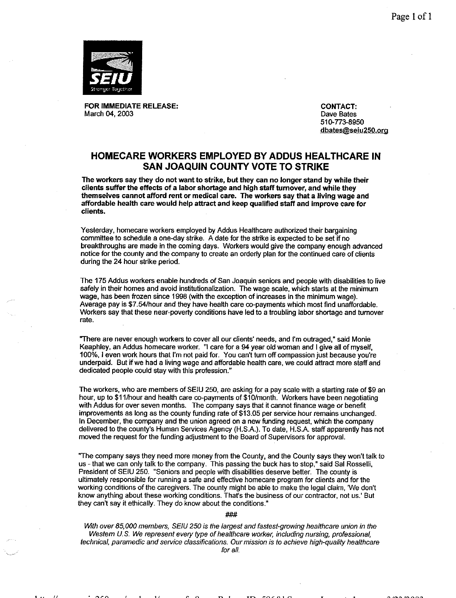

FOR IMMEDIATE RELEASE: March 04, 2003

**CONTACT:** Dave Bates 510-773-8950 dbates@seiu250.org

### HOMECARE WORKERS EMPLOYED BY ADDUS HEALTHCARE IN **SAN JOAQUIN COUNTY VOTE TO STRIKE**

The workers say they do not want to strike, but they can no longer stand by while their clients suffer the effects of a labor shortage and high staff turnover, and while they themselves cannot afford rent or medical care. The workers say that a living wage and affordable health care would help attract and keep qualified staff and improve care for clients.

Yesterday, homecare workers employed by Addus Healthcare authorized their bargaining committee to schedule a one-day strike. A date for the strike is expected to be set if no breakthroughs are made in the coming days. Workers would give the company enough advanced notice for the county and the company to create an orderly plan for the continued care of clients during the 24 hour strike period.

The 175 Addus workers enable hundreds of San Joaquin seniors and people with disabilities to live safely in their homes and avoid institutionalization. The wage scale, which starts at the minimum wage, has been frozen since 1998 (with the exception of increases in the minimum wage). Average pay is \$7.54/hour and they have health care co-payments which most find unaffordable. Workers say that these near-poverty conditions have led to a troubling labor shortage and turnover rate.

"There are never enough workers to cover all our clients' needs, and I'm outraged." said Monie Keaphley, an Addus homecare worker. "I care for a 94 year old woman and I give all of myself, 100%, I even work hours that I'm not paid for. You can't turn off compassion just because you're underpaid. But if we had a living wage and affordable health care, we could attract more staff and dedicated people could stay with this profession."

The workers, who are members of SEIU 250, are asking for a pay scale with a starting rate of \$9 an hour, up to \$11/hour and health care co-payments of \$10/month. Workers have been negotiating with Addus for over seven months. The company says that it cannot finance wage or benefit improvements as long as the county funding rate of \$13.05 per service hour remains unchanged. In December, the company and the union agreed on a new funding request, which the company delivered to the county's Human Services Agency (H.S.A.). To date, H.S.A. staff apparently has not moved the request for the funding adjustment to the Board of Supervisors for approval.

"The company says they need more money from the County, and the County says they won't talk to us - that we can only talk to the company. This passing the buck has to stop," said Sal Rosselli, President of SEIU 250. "Seniors and people with disabilities deserve better. The county is ultimately responsible for running a safe and effective homecare program for clients and for the working conditions of the caregivers. The county might be able to make the legal claim, 'We don't know anything about these working conditions. That's the business of our contractor, not us.' But they can't say it ethically. They do know about the conditions."

#### ###

With over 85,000 members, SEIU 250 is the largest and fastest-growing healthcare union in the Western U.S. We represent every type of healthcare worker, including nursing, professional, technical, paramedic and service classifications. Our mission is to achieve high-quality healthcare for all.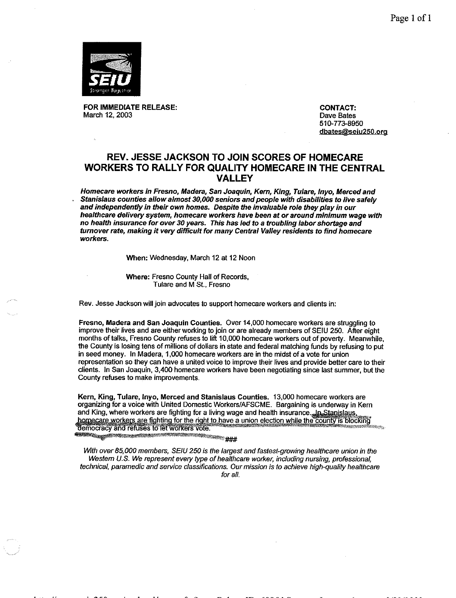Page 1 of 1



FOR IMMEDIATE RELEASE: March 12, 2003

**CONTACT:** Dave Bates 510-773-8950 dbates@seiu250.org

# **REV. JESSE JACKSON TO JOIN SCORES OF HOMECARE WORKERS TO RALLY FOR QUALITY HOMECARE IN THE CENTRAL VALLEY**

Homecare workers in Fresno, Madera, San Joaquin, Kern, King, Tulare, Inyo, Merced and Stanislaus counties allow almost 30,000 seniors and people with disabilities to live safely and independently in their own homes. Despite the invaluable role they play in our healthcare delivery system, homecare workers have been at or around minimum wage with no health insurance for over 30 years. This has led to a troubling labor shortage and turnover rate, making it very difficult for many Central Valley residents to find homecare workers.

When: Wednesday, March 12 at 12 Noon

Where: Fresno County Hall of Records, Tulare and M St., Fresno

Rev. Jesse Jackson will join advocates to support homecare workers and clients in:

Fresno, Madera and San Joaquin Counties. Over 14,000 homecare workers are struggling to improve their lives and are either working to join or are already members of SEIU 250. After eight months of talks, Fresno County refuses to lift 10,000 homecare workers out of poverty. Meanwhile, the County is losing tens of millions of dollars in state and federal matching funds by refusing to put in seed money. In Madera, 1,000 homecare workers are in the midst of a vote for union representation so they can have a united voice to improve their lives and provide better care to their clients. In San Joaquin, 3,400 homecare workers have been negotiating since last summer, but the County refuses to make improvements.

Kern, King, Tulare, Inyo, Merced and Stanislaus Counties. 13,000 homecare workers are organizing for a voice with United Domestic Workers/AFSCME. Bargaining is underway in Kern and King, where workers are fighting for a living wage and health insurance. In Stanislaus, homecare workers are fighting for the right to have a union election while the county is blocking democracy and refuses to let workers vote.

**The September of Contract of Contract of Section** 

With over 85,000 members, SEIU 250 is the largest and fastest-growing healthcare union in the Western U.S. We represent every type of healthcare worker, including nursing, professional. technical, paramedic and service classifications. Our mission is to achieve high-quality healthcare for all.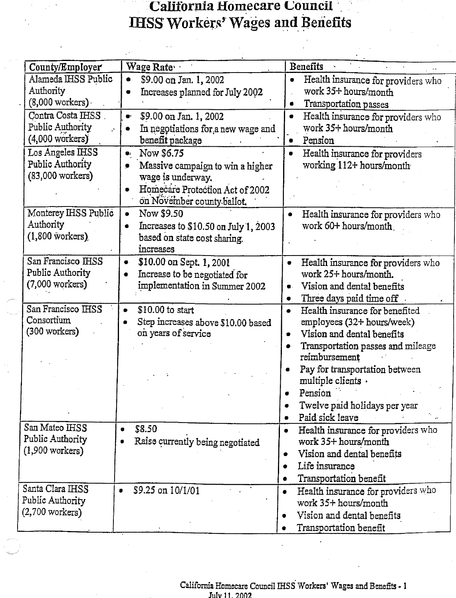# **California Homecare Council IHSS Workers' Wages and Benefits**

| County/Employer            | Wage Rate                                       | <b>Benefits</b>                                               |
|----------------------------|-------------------------------------------------|---------------------------------------------------------------|
| Alameda IHSS Public        | \$9.00 on Jan. 1, 2002<br>$\bullet$             | Health insurance for providers who                            |
| Authority                  | Increases planned for July 2002<br>۰            | work 35+ hours/month                                          |
| $(8,000$ workers)          |                                                 | Transportation passes                                         |
| Contra Costa IHSS          | \$9.00 on Jan. 1, 2002<br>$\bullet$             | Health insurance for providers who                            |
| Public Authority           | In negotiations for a new wage and<br>$\bullet$ | work 35+ hours/month                                          |
| $(4,000 \text{ workers})$  | benefit package                                 | Pension                                                       |
| Los Angeles IHSS           | Now \$6.75<br>$\mathbf{Q}_k$                    | Health insurance for providers<br>$\bullet$                   |
| Public Authority           | Massive campaign to win a higher<br>۰           | working 112+ hours/month                                      |
| $(83,000 \text{ workers})$ | wage is underway.                               |                                                               |
|                            | Homecare Protection Act of 2002                 |                                                               |
|                            | on November county ballot.                      |                                                               |
| Monterey IHSS Public       | Now \$9.50<br>$\bullet$                         | Health insurance for providers who<br>$\qquad \qquad \bullet$ |
| Authority                  | Increases to \$10.50 on July 1, 2003<br>۰       | work 60+ hours/month                                          |
| $(1,800$ workers)          | based on state cost sharing.                    |                                                               |
|                            | increases                                       |                                                               |
| San Francisco IHSS         | \$10.00 on Sept. 1, 2001<br>٠                   | Health insurance for providers who<br>$\bullet$               |
| Public Authority           | Increase to be negotiated for                   | work 25+ hours/month.                                         |
| $(7,000 \text{ workers})$  | implementation in Summer 2002                   | Vision and dental benefits<br>۰.                              |
|                            |                                                 | Three days paid time off<br>۰                                 |
| San Francisco IHSS         | \$10.00 to start<br>$\bullet$                   | Health insurance for benefited<br>٠                           |
| Consortium                 | Step increases above \$10.00 based              | employees (32+ hours/week)                                    |
| $(300 \text{ workers})$    | on years of service                             | Vision and dental benefits<br>$\bullet$                       |
|                            |                                                 | Transportation passes and mileage                             |
|                            |                                                 | reimbursement                                                 |
|                            |                                                 | Pay for transportation between                                |
|                            |                                                 | multiple clients.                                             |
|                            |                                                 | Pension                                                       |
|                            |                                                 | Twelve paid holidays per year                                 |
| San Mateo IHSS             |                                                 | Paid sick leave                                               |
| Public Authority           | \$8.50                                          | Health insurance for providers who<br>$\bullet$               |
| $(1,900 \text{ workers})$  | Raise currently being negotiated                | work 35+ hours/month                                          |
|                            |                                                 | Vision and dental benefits                                    |
|                            |                                                 | Life insurance                                                |
| Santa Clara IHSS           |                                                 | Transportation benefit                                        |
| Public Authority           | \$9.25 on 10/1/01<br>$\bullet$                  | Health insurance for providers who<br>٠                       |
| $(2,700$ workers)          |                                                 | work 35+ hours/month                                          |
|                            |                                                 | Vision and dental benefits                                    |
|                            |                                                 | Transportation benefit                                        |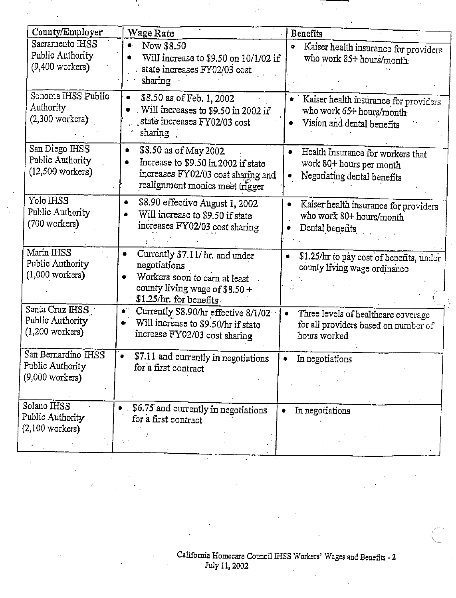| County/Employer                                                  | Wage Rate                                                                                                                                      | Benefits                                                                                                 |
|------------------------------------------------------------------|------------------------------------------------------------------------------------------------------------------------------------------------|----------------------------------------------------------------------------------------------------------|
| Sacramento IHSS<br>Public Authority<br>$(9,400$ workers)         | Now \$8.50<br>O.<br>Will increase to \$9.50 on 10/1/02 if<br>state increases FY02/03 cost<br>sharing                                           | Kaiser health insurance for providers<br>$\bullet$<br>who work 85+ hours/month                           |
| Sonoma IHSS Public<br>Authority<br>$(2,300$ workers)             | \$8.50 as of Feb. 1, 2002<br>۰<br>Will increases to \$9.50 in 2002 if<br>state increases FY02/03 cost<br>sharing                               | · Kaiser health insurance for providers<br>who work 65+ hours/month<br>Vision and dental benefits        |
| San Diego IHSS<br>Public Authority<br>$(12,500 \text{ workers})$ | \$8.50 as of May 2002.<br>٠<br>Increase to \$9.50 in 2002 if state<br>increases FY02/03 cost sharing and<br>realignment monies meet trigger    | Health Insurance for workers that<br>work 80+ hours per month<br>Negotiating dental benefits             |
| Yolo IHSS<br>Public Authority<br>(700 workers)                   | \$8.90 effective August 1, 2002<br>۰<br>Will increase to \$9.50 if state<br>increases FY02/03 cost sharing                                     | Kaiser health insurance for providers<br>who work 80+ hours/month<br>Dental benefits                     |
| Marin IHSS<br>Public Authority<br>$(1,000 \text{ workers})$      | Currently \$7.11/ hr. and under<br>negotiations<br>Workers soon to earn at least<br>county living wage of \$8.50 +<br>\$1.25/hr. for benefits. | \$1.25/hr to pay cost of benefits, under<br>$\bullet$<br>county living wage ordinance                    |
| Santa Cruz IHSS<br>Public Authority<br>$(1,200$ workers)         | $\bullet$ .<br>Currently \$8.90/hr effective 8/1/02<br>Will increase to \$9.50/hr if state<br>$\bullet$<br>increase FY02/03 cost sharing       | $\bullet$<br>Three levels of healthcare coverage<br>for all providers based on number of<br>hours worked |
| San Bernardino IHSS<br>Public Authority<br>$(9,000$ workers)     | \$7.11 and currently in negotiations<br>$\bullet$<br>for a first contract                                                                      | In negotiations<br>۰                                                                                     |
| Solano IHSS<br>Public Authority<br>$(2,100$ workers)             | \$6.75 and currently in negotiations<br>for a first contract                                                                                   | In negotiations                                                                                          |